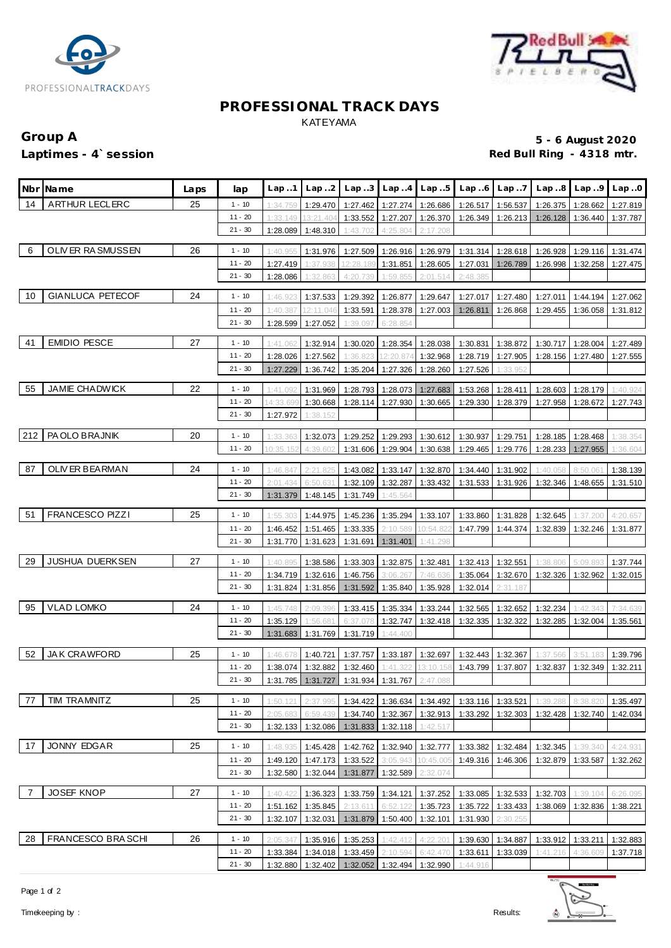



#### **PROFESSIONAL TRACK DAYS** KATEYAMA

### **Group A 5 - 6 August 2020**

### **Laptimes - 4`session Red Bull Ring - 4318 mtr.**

|     | Nbr Name                | Laps | lap                    | Lap.1                | Lap.2                 | Lap.3                                        |                      | $Lap. .4$ $Lap. .5$  | Lap.6    | Lap.7             |          | $Lap.8$ $Lap.9$ | Lap.0    |
|-----|-------------------------|------|------------------------|----------------------|-----------------------|----------------------------------------------|----------------------|----------------------|----------|-------------------|----------|-----------------|----------|
|     | ARTHUR LECLERC          |      |                        |                      |                       |                                              |                      |                      |          |                   |          |                 |          |
| 14  |                         | 25   | $1 - 10$<br>$11 - 20$  | 1:34.759             | 1:29.470              | 1:27.462                                     | 1:27.274             | 1:26.686             | 1:26.517 | 1:56.537          | 1:26.375 | 1:28.662        | 1:27.819 |
|     |                         |      | $21 - 30$              | 1:33.149<br>1:28.089 | 13:21.404<br>1:48.310 | 1:33.552                                     | 1:27.207<br>4:25.804 | 1:26.370<br>2:17.208 | 1:26.349 | 1:26.213          | 1:26.128 | 1:36.440        | 1:37.787 |
|     |                         |      |                        |                      |                       | 1:43.702                                     |                      |                      |          |                   |          |                 |          |
| 6   | OLIVER RASMUSSEN        | 26   | $1 - 10$               | 1:40.955             | 1:31.976              | 1:27.509                                     | 1:26.916             | 1:26.979             | 1:31.314 | 1:28.618          | 1:26.928 | 1:29.116        | 1:31.474 |
|     |                         |      | $11 - 20$              | 1:27.419             | 1:37.938              | 12:28.189                                    | 1:31.851             | 1:28.605             | 1:27.031 | 1:26.789          | 1:26.998 | 1:32.258        | 1:27.475 |
|     |                         |      | $21 - 30$              | 1:28.086             | 1:32.863              | 4:20.739                                     | 1:59.855             | 2:01.514             | 2:48.385 |                   |          |                 |          |
| 10  | <b>GIANLUCA PETECOF</b> | 24   | $1 - 10$               | 1:46.923             | 1:37.533              | 1:29.392                                     | 1:26.877             | 1:29.647             | 1:27.017 | 1:27.480          | 1:27.011 | 1:44.194        | 1:27.062 |
|     |                         |      | $11 - 20$              | 1:40.387             | 12:11.046             | 1:33.591                                     | 1:28.378             | 1:27.003             | 1:26.811 | 1:26.868          | 1:29.455 | 1:36.058        | 1:31.812 |
|     |                         |      | $21 - 30$              | 1:28.599             | 1:27.052              | 1:39.097                                     | 6:28.854             |                      |          |                   |          |                 |          |
|     |                         |      |                        |                      |                       |                                              |                      |                      |          |                   |          |                 |          |
| 41  | <b>EMIDIO PESCE</b>     | 27   | $1 - 10$               | 1:41.062             | 1:32.914              | 1:30.020                                     | 1:28.354             | 1:28.038             | 1:30.831 | 1:38.872          | 1:30.717 | 1:28.004        | 1:27.489 |
|     |                         |      | $11 - 20$              | 1:28.026             | 1:27.562              | 1:36.823                                     | 12:20.874            | 1:32.968             | 1:28.719 | 1:27.905          | 1:28.156 | 1:27.480        | 1:27.555 |
|     |                         |      | $21 - 30$              | 1:27.229             | 1:36.742              | 1:35.204                                     | 1:27.326             | 1:28.260             | 1:27.526 | 1:33.952          |          |                 |          |
| 55  | <b>JAMIE CHADWICK</b>   | 22   | $1 - 10$               | 1:41.092             | 1:31.969              | 1:28.793                                     | 1:28.073             | 1:27.683             | 1:53.268 | 1:28.411          | 1:28.603 | 1:28.179        | 1:40.924 |
|     |                         |      | $11 - 20$              | 14:33.699            | 1:30.668              | 1:28.114                                     | 1:27.930             | 1:30.665             | 1:29.330 | 1:28.379          | 1:27.958 | 1:28.672        | 1:27.743 |
|     |                         |      | $21 - 30$              | 1:27.972             | 1:38.152              |                                              |                      |                      |          |                   |          |                 |          |
|     | PA OLO BRAJNIK          |      |                        |                      |                       |                                              |                      |                      |          |                   |          |                 |          |
| 212 |                         | 20   | $1 - 10$<br>$11 - 20$  | 1:33.363             | 1:32.073              | 1:29.252                                     | 1:29.293             | 1:30.612             | 1:30.937 | 1:29.751          | 1:28.185 | 1:28.468        | 1:38.354 |
|     |                         |      |                        | 10:35.152            | 4:39.602              | 1:31.606                                     | 1:29.904             | 1:30.638             | 1:29.465 | 1:29.776          | 1:28.233 | 1:27.955        | 1:36.604 |
| 87  | OLIV ER BEARMAN         | 24   | $1 - 10$               | 1:46.847             | 2:21.825              | 1:43.082                                     | 1:33.147             | 1:32.870             | 1:34.440 | 1:31.902          | 1:40.058 | 8:50.061        | 1:38.139 |
|     |                         |      | $11 - 20$              | 2:01.434             | 6:50.631              | 1:32.109                                     | 1:32.287             | 1:33.432             | 1:31.533 | 1:31.926          | 1:32.346 | 1:48.655        | 1:31.510 |
|     |                         |      | $21 - 30$              | 1:31.379             | 1:48.145              | 1:31.749                                     | 1:45.564             |                      |          |                   |          |                 |          |
| 51  | <b>FRANCESCO PIZZI</b>  | 25   | $1 - 10$               | 1:55.303             | 1:44.975              | 1:45.236                                     | 1:35.294             | 1:33.107             | 1:33.860 | 1:31.828          | 1:32.645 | 1:37.200        | 4:20.657 |
|     |                         |      | $11 - 20$              | 1:46.452             | 1:51.465              | 1:33.335                                     | 2:10.589             | 10:54.82             | 1:47.799 | 1:44.374          | 1:32.839 | 1:32.246        | 1:31.877 |
|     |                         |      | $21 - 30$              | 1:31.770             | 1:31.623              | 1:31.691                                     | 1:31.401             | 1:41.298             |          |                   |          |                 |          |
|     |                         |      |                        |                      |                       |                                              |                      |                      |          |                   |          |                 |          |
| 29  | <b>JUSHUA DUERKSEN</b>  | 27   | $1 - 10$               | 1:40.895             | 1:38.586              | 1:33.303                                     | 1:32.875             | 1:32.481             | 1:32.413 | 1:32.551          | 1:38.806 | 5:09.893        | 1:37.744 |
|     |                         |      | $11 - 20$<br>$21 - 30$ | 1:34.719             | 1:32.616              | 1:46.756                                     | 3:06.267             | 7:46.636             | 1:35.064 | 1:32.670          | 1:32.326 | 1:32.962        | 1:32.015 |
|     |                         |      |                        | 1:31.824             | 1:31.856              | 1:31.592                                     | 1:35.840             | 1:35.928             | 1:32.014 | 2:31.187          |          |                 |          |
| 95  | <b>VLAD LOMKO</b>       | 24   | $1 - 10$               | 1:45.748             | 2:09.396              | 1:33.415                                     | 1:35.334             | 1:33.244             | 1:32.565 | 1:32.652          | 1:32.234 | 1:42.343        | 7:34.639 |
|     |                         |      | $11 - 20$              | 1:35.129             | 1:56.681              | 6:37.078                                     | 1:32.747             | 1:32.418             | 1:32.335 | 1:32.322          | 1:32.285 | 1:32.004        | 1:35.561 |
|     |                         |      | $21 - 30$              | 1:31.683             | 1:31.769              | 1:31.719                                     | 1:44.400             |                      |          |                   |          |                 |          |
| 52  | <b>JAK CRAWFORD</b>     | 25   | $1 - 10$               | 1:46.678             | 1:40.721              | 1:37.757                                     |                      | 1:33.187 1:32.697    | 1:32.443 | 1:32.367          | 1:37.566 | 3:51.183        | 1:39.796 |
|     |                         |      | $11 - 20$              |                      | 1:38.074 1:32.882     | 1:32.460                                     |                      | 1:41.322 13:10.158   |          | 1:43.799 1:37.807 | 1:32.837 | 1:32.349        | 1:32.211 |
|     |                         |      | $21 - 30$              |                      |                       | 1:31.785 1:31.727 1:31.934 1:31.767 2:47.088 |                      |                      |          |                   |          |                 |          |
|     |                         |      |                        |                      |                       |                                              |                      |                      |          |                   |          |                 |          |
| 77  | TIM TRAMNITZ            | 25   | $1 - 10$               | 1:50.121             | 2:37.995              | 1:34.422                                     | 1:36.634             | 1:34.492             | 1:33.116 | 1:33.521          | 1:39.288 | 8:38.820        | 1:35.497 |
|     |                         |      | $11 - 20$              | 2:05.683             | 6:59.439              | 1:34.740                                     | 1:32.367             | 1:32.913             | 1:33.292 | 1:32.303          | 1:32.428 | 1:32.740        | 1:42.034 |
|     |                         |      | $21 - 30$              | 1:32.133             | 1:32.086              | 1:31.833                                     | 1:32.118             | 1:42.517             |          |                   |          |                 |          |
| 17  | <b>JONNY EDGAR</b>      | 25   | $1 - 10$               | 1:48.935             | 1:45.428              | 1:42.762                                     | 1:32.940             | 1:32.777             | 1:33.382 | 1:32.484          | 1:32.345 | 1:39.340        | 4:24.931 |
|     |                         |      | $11 - 20$              | 1:49.120             | 1:47.173              | 1:33.522                                     | 3:05.943             | 10:45.005            | 1:49.316 | 1:46.306          | 1:32.879 | 1:33.587        | 1:32.262 |
|     |                         |      | $21 - 30$              | 1:32.580             | 1:32.044              | 1:31.877                                     | 1:32.589             | 2:32.074             |          |                   |          |                 |          |
| -7  | JOSEF KNOP              | 27   | $1 - 10$               | 1:40.422             | 1:36.323              | 1:33.759                                     | 1:34.121             | 1:37.252             | 1:33.085 | 1:32.533          | 1:32.703 | 1:39.104        | 6:26.095 |
|     |                         |      | $11 - 20$              | 1:51.162             | 1:35.845              | 2:13.611                                     | 6:52.122             | 1:35.723             | 1:35.722 | 1:33.433          | 1:38.069 | 1:32.836        | 1:38.221 |
|     |                         |      | $21 - 30$              | 1:32.107             | 1:32.031              | 1:31.879                                     | 1:50.400             | 1:32.101             | 1:31.930 | 2:30.255          |          |                 |          |
|     |                         |      |                        |                      |                       |                                              |                      |                      |          |                   |          |                 |          |
| 28  | FRANCESCO BRASCHI       | 26   | $1 - 10$               | 2:05.347             | 1:35.916              | 1:35.253                                     | 1:42.412             | 4:22.201             | 1:39.630 | 1:34.887          | 1:33.912 | 1:33.211        | 1:32.883 |
|     |                         |      | $11 - 20$              | 1:33.384             | 1:34.018              | 1:33.459                                     | 2:10.594             | 6:42.470             | 1:33.611 | 1:33.039          | 1:41.216 | 4:36.609        | 1:37.718 |
|     |                         |      | $21 - 30$              | 1:32.880             | 1:32.402              | 1:32.052                                     | 1:32.494             | 1:32.990             | 1:44.916 |                   |          |                 |          |